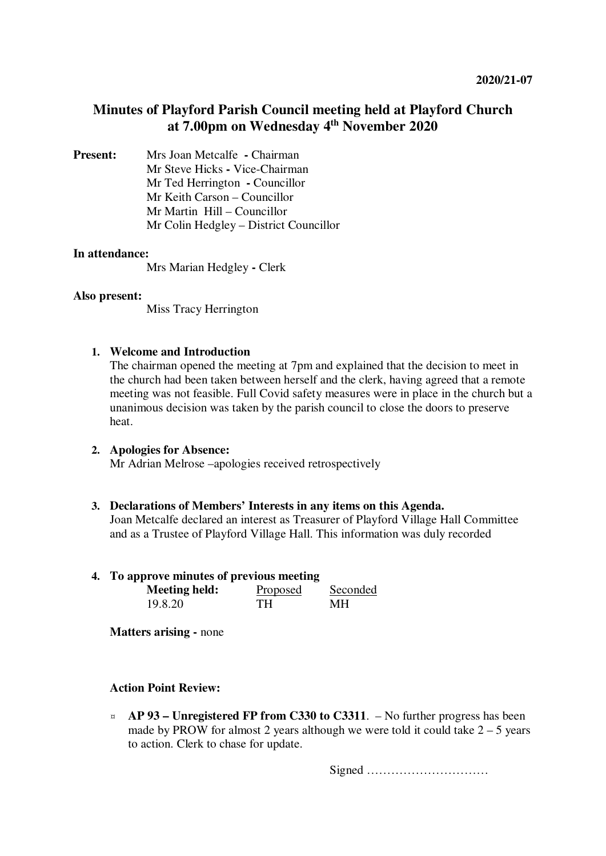# **Minutes of Playford Parish Council meeting held at Playford Church at 7.00pm on Wednesday 4th November 2020**

**Present:** Mrs Joan Metcalfe **- Chairman** Mr Steve Hicks **-** Vice-Chairman Mr Ted Herrington **-** Councillor Mr Keith Carson – Councillor Mr Martin Hill – Councillor Mr Colin Hedgley – District Councillor

### **In attendance:**

Mrs Marian Hedgley **-** Clerk

### **Also present:**

Miss Tracy Herrington

# **1. Welcome and Introduction**

The chairman opened the meeting at 7pm and explained that the decision to meet in the church had been taken between herself and the clerk, having agreed that a remote meeting was not feasible. Full Covid safety measures were in place in the church but a unanimous decision was taken by the parish council to close the doors to preserve heat.

# **2. Apologies for Absence:**

Mr Adrian Melrose –apologies received retrospectively

# **3. Declarations of Members' Interests in any items on this Agenda.**

Joan Metcalfe declared an interest as Treasurer of Playford Village Hall Committee and as a Trustee of Playford Village Hall. This information was duly recorded

#### **4. To approve minutes of previous meeting**

| <b>Meeting held:</b> | Proposed | Seconded |
|----------------------|----------|----------|
| 19.8.20              | TH.      | MН       |

**Matters arising - none** 

# **Action Point Review:**

¤ **AP 93 – Unregistered FP from C330 to C3311**. – No further progress has been made by PROW for almost 2 years although we were told it could take  $2 - 5$  years to action. Clerk to chase for update.

Signed …………………………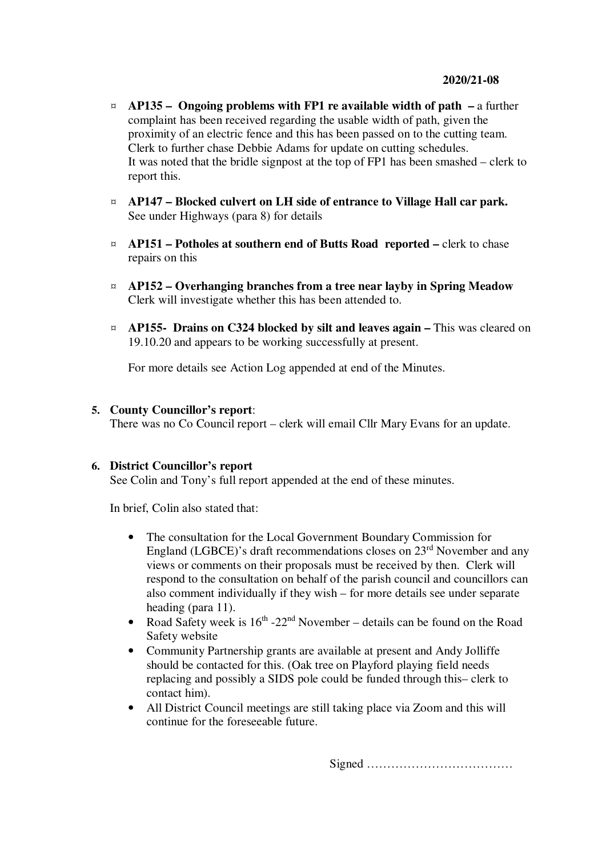- ¤ **AP135 Ongoing problems with FP1 re available width of path** a further complaint has been received regarding the usable width of path, given the proximity of an electric fence and this has been passed on to the cutting team. Clerk to further chase Debbie Adams for update on cutting schedules. It was noted that the bridle signpost at the top of FP1 has been smashed – clerk to report this.
- ¤ **AP147 Blocked culvert on LH side of entrance to Village Hall car park.** See under Highways (para 8) for details
- ¤ **AP151 Potholes at southern end of Butts Road reported** clerk to chase repairs on this
- ¤ **AP152 Overhanging branches from a tree near layby in Spring Meadow**  Clerk will investigate whether this has been attended to.
- ¤ **AP155- Drains on C324 blocked by silt and leaves again** This was cleared on 19.10.20 and appears to be working successfully at present.

For more details see Action Log appended at end of the Minutes.

### **5. County Councillor's report**:

There was no Co Council report – clerk will email Cllr Mary Evans for an update.

# **6. District Councillor's report**

See Colin and Tony's full report appended at the end of these minutes.

In brief, Colin also stated that:

- The consultation for the Local Government Boundary Commission for England (LGBCE)'s draft recommendations closes on 23rd November and any views or comments on their proposals must be received by then. Clerk will respond to the consultation on behalf of the parish council and councillors can also comment individually if they wish – for more details see under separate heading (para 11).
- Road Safety week is  $16<sup>th</sup> 22<sup>nd</sup>$  November details can be found on the Road Safety website
- Community Partnership grants are available at present and Andy Jolliffe should be contacted for this. (Oak tree on Playford playing field needs replacing and possibly a SIDS pole could be funded through this– clerk to contact him).
- All District Council meetings are still taking place via Zoom and this will continue for the foreseeable future.

Signed ………………………………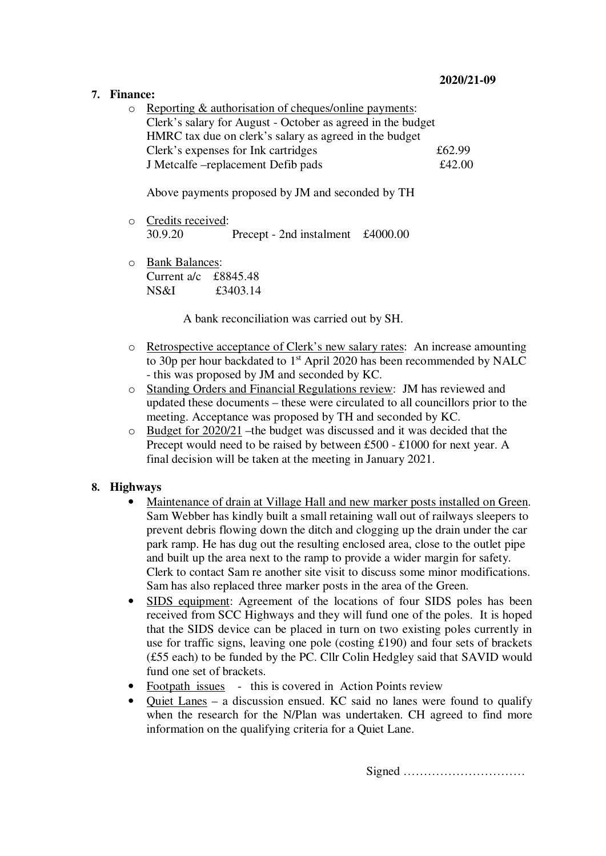# **7. Finance:**

o Reporting & authorisation of cheques/online payments: Clerk's salary for August - October as agreed in the budget HMRC tax due on clerk's salary as agreed in the budget Clerk's expenses for Ink cartridges  $£62.99$ J Metcalfe –replacement Defib pads £42.00

Above payments proposed by JM and seconded by TH

- o Credits received: 30.9.20 Precept - 2nd instalment £4000.00
- o Bank Balances: Current a/c £8845.48 NS&I £3403.14

A bank reconciliation was carried out by SH.

- o Retrospective acceptance of Clerk's new salary rates: An increase amounting to 30p per hour backdated to 1<sup>st</sup> April 2020 has been recommended by NALC - this was proposed by JM and seconded by KC.
- o Standing Orders and Financial Regulations review: JM has reviewed and updated these documents – these were circulated to all councillors prior to the meeting. Acceptance was proposed by TH and seconded by KC.
- o Budget for 2020/21 –the budget was discussed and it was decided that the Precept would need to be raised by between £500 - £1000 for next year. A final decision will be taken at the meeting in January 2021.

# **8. Highways**

- Maintenance of drain at Village Hall and new marker posts installed on Green. Sam Webber has kindly built a small retaining wall out of railways sleepers to prevent debris flowing down the ditch and clogging up the drain under the car park ramp. He has dug out the resulting enclosed area, close to the outlet pipe and built up the area next to the ramp to provide a wider margin for safety. Clerk to contact Sam re another site visit to discuss some minor modifications. Sam has also replaced three marker posts in the area of the Green.
- SIDS equipment: Agreement of the locations of four SIDS poles has been received from SCC Highways and they will fund one of the poles. It is hoped that the SIDS device can be placed in turn on two existing poles currently in use for traffic signs, leaving one pole (costing £190) and four sets of brackets (£55 each) to be funded by the PC. Cllr Colin Hedgley said that SAVID would fund one set of brackets.
- Footpath issues this is covered in Action Points review
- Quiet Lanes a discussion ensued. KC said no lanes were found to qualify when the research for the N/Plan was undertaken. CH agreed to find more information on the qualifying criteria for a Quiet Lane.

Signed …………………………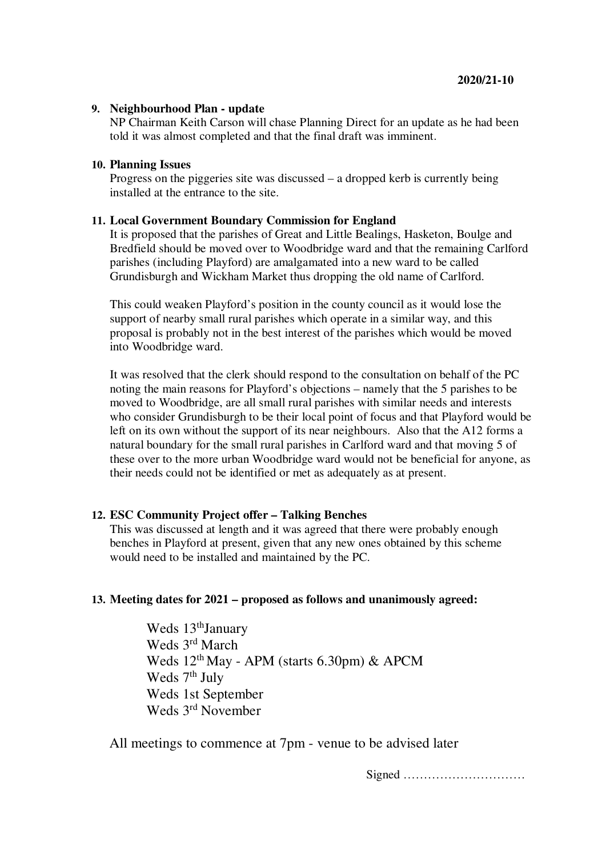# **9. Neighbourhood Plan - update**

NP Chairman Keith Carson will chase Planning Direct for an update as he had been told it was almost completed and that the final draft was imminent.

# **10. Planning Issues**

Progress on the piggeries site was discussed – a dropped kerb is currently being installed at the entrance to the site.

# **11. Local Government Boundary Commission for England**

It is proposed that the parishes of Great and Little Bealings, Hasketon, Boulge and Bredfield should be moved over to Woodbridge ward and that the remaining Carlford parishes (including Playford) are amalgamated into a new ward to be called Grundisburgh and Wickham Market thus dropping the old name of Carlford.

This could weaken Playford's position in the county council as it would lose the support of nearby small rural parishes which operate in a similar way, and this proposal is probably not in the best interest of the parishes which would be moved into Woodbridge ward.

It was resolved that the clerk should respond to the consultation on behalf of the PC noting the main reasons for Playford's objections – namely that the 5 parishes to be moved to Woodbridge, are all small rural parishes with similar needs and interests who consider Grundisburgh to be their local point of focus and that Playford would be left on its own without the support of its near neighbours. Also that the A12 forms a natural boundary for the small rural parishes in Carlford ward and that moving 5 of these over to the more urban Woodbridge ward would not be beneficial for anyone, as their needs could not be identified or met as adequately as at present.

# **12. ESC Community Project offer – Talking Benches**

This was discussed at length and it was agreed that there were probably enough benches in Playford at present, given that any new ones obtained by this scheme would need to be installed and maintained by the PC.

# **13. Meeting dates for 2021 – proposed as follows and unanimously agreed:**

Weds 13<sup>th</sup>January Weds 3<sup>rd</sup> March Weds 12th May - APM (starts 6.30pm) & APCM Weds  $7<sup>th</sup>$  July Weds 1st September Weds 3<sup>rd</sup> November

All meetings to commence at 7pm - venue to be advised later

Signed …………………………